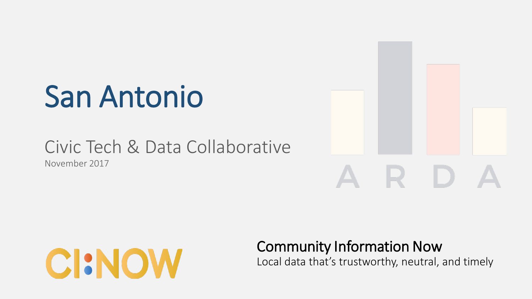# San Antonio

### Civic Tech & Data Collaborative November 2017





### Community Information Now

Local data that's trustworthy, neutral, and timely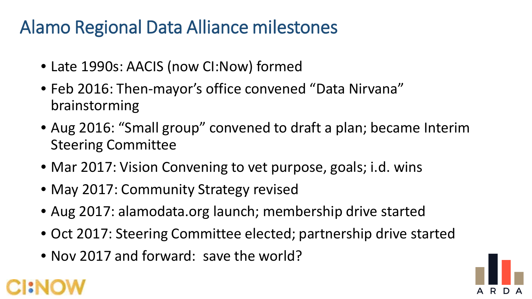## Alamo Regional Data Alliance milestones

- Late 1990s: AACIS (now CI:Now) formed
- Feb 2016: Then-mayor's office convened "Data Nirvana" brainstorming
- Aug 2016: "Small group" convened to draft a plan; became Interim Steering Committee
- Mar 2017: Vision Convening to vet purpose, goals; i.d. wins
- May 2017: Community Strategy revised
- Aug 2017: alamodata.org launch; membership drive started
- Oct 2017: Steering Committee elected; partnership drive started
- Nov 2017 and forward: save the world?



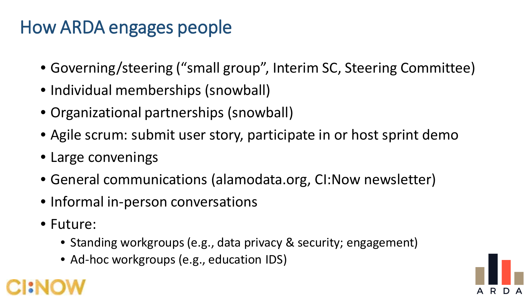# How ARDA engages people

- Governing/steering ("small group", Interim SC, Steering Committee)
- Individual memberships (snowball)
- Organizational partnerships (snowball)
- Agile scrum: submit user story, participate in or host sprint demo
- Large convenings
- General communications (alamodata.org, CI:Now newsletter)
- Informal in-person conversations
- Future:
	- Standing workgroups (e.g., data privacy & security; engagement)
	- Ad-hoc workgroups (e.g., education IDS)



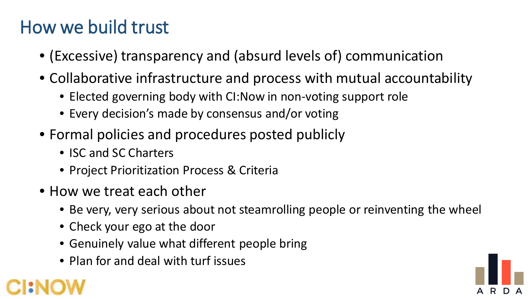## How we build trust

- (Excessive) transparency and (absurd levels of) communication
- Collaborative infrastructure and process with mutual accountability
	- Elected governing body with CI:Now in non-voting support role
	- Every decision's made by consensus and/or voting
- Formal policies and procedures posted publicly
	- ISC and SC Charters
	- Project Prioritization Process & Criteria
- How we treat each other
	- Be very, very serious about not steamrolling people or reinventing the wheel
	- Check your ego at the door
	- Genuinely value what different people bring
	- Plan for and deal with turf issues

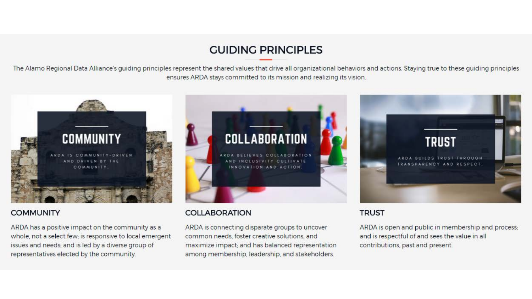#### **GUIDING PRINCIPLES**

The Alamo Regional Data Alliance's guiding principles represent the shared values that drive all organizational behaviors and actions. Staying true to these guiding principles ensures ARDA stays committed to its mission and realizing its vision.



#### **COMMUNITY**

ARDA has a positive impact on the community as a whole, not a select few; is responsive to local emergent issues and needs; and is led by a diverse group of representatives elected by the community.

#### **COLLABORATION**

ARDA is connecting disparate groups to uncover common needs, foster creative solutions, and maximize impact; and has balanced representation among membership, leadership, and stakeholders.

#### **TRUST**

ARDA is open and public in membership and process; and is respectful of and sees the value in all contributions, past and present.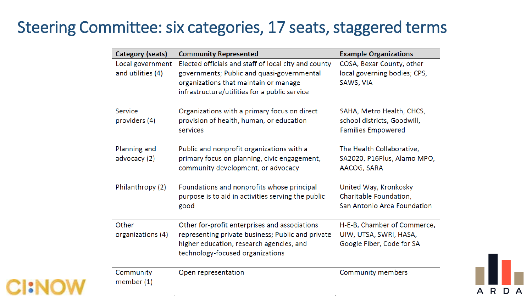### Steering Committee: six categories, 17 seats, staggered terms

| Category (seats)                      | <b>Community Represented</b>                                                                                                                                                                 | <b>Example Organizations</b>                                                          |
|---------------------------------------|----------------------------------------------------------------------------------------------------------------------------------------------------------------------------------------------|---------------------------------------------------------------------------------------|
| Local government<br>and utilities (4) | Elected officials and staff of local city and county<br>governments; Public and quasi-governmental<br>organizations that maintain or manage<br>infrastructure/utilities for a public service | COSA, Bexar County, other<br>local governing bodies; CPS,<br>SAWS, VIA                |
| Service<br>providers (4)              | Organizations with a primary focus on direct<br>provision of health, human, or education<br>services                                                                                         | SAHA, Metro Health, CHCS,<br>school districts, Goodwill,<br><b>Families Empowered</b> |
| Planning and<br>advocacy (2)          | Public and nonprofit organizations with a<br>primary focus on planning, civic engagement,<br>community development, or advocacy                                                              | The Health Collaborative,<br>SA2020, P16Plus, Alamo MPO,<br>AACOG, SARA               |
| Philanthropy (2)                      | Foundations and nonprofits whose principal<br>purpose is to aid in activities serving the public<br>good                                                                                     | United Way, Kronkosky<br>Charitable Foundation,<br>San Antonio Area Foundation        |
| Other<br>organizations (4)            | Other for-profit enterprises and associations<br>representing private business; Public and private<br>higher education, research agencies, and<br>technology-focused organizations           | H-E-B, Chamber of Commerce,<br>UIW, UTSA, SWRI, HASA,<br>Google Fiber, Code for SA    |
| Community<br>member $(1)$             | Open representation                                                                                                                                                                          | <b>Community members</b>                                                              |



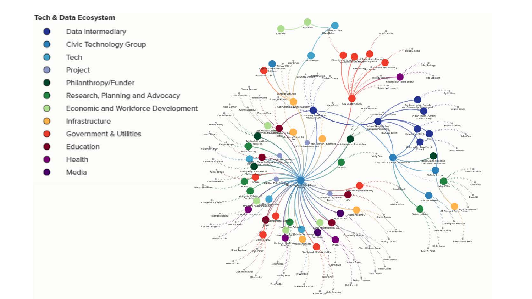#### **Tech & Data Ecosystem**

- Data Intermediary
- Civic Technology Group
- Tech
- Project O
- Philanthropy/Funder
- Research, Planning and Advocacy
- Economic and Workforce Development O
- Infrastructure O
- **Government & Utilities**
- Education
- Health
- Media